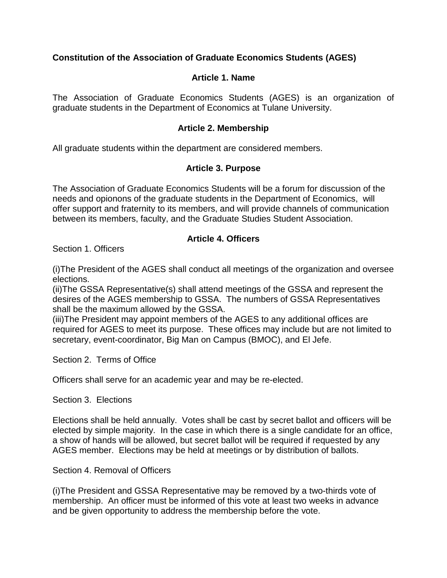# **Constitution of the Association of Graduate Economics Students (AGES)**

## **Article 1. Name**

The Association of Graduate Economics Students (AGES) is an organization of graduate students in the Department of Economics at Tulane University.

#### **Article 2. Membership**

All graduate students within the department are considered members.

#### **Article 3. Purpose**

The Association of Graduate Economics Students will be a forum for discussion of the needs and opionons of the graduate students in the Department of Economics, will offer support and fraternity to its members, and will provide channels of communication between its members, faculty, and the Graduate Studies Student Association.

#### **Article 4. Officers**

Section 1. Officers

(i)The President of the AGES shall conduct all meetings of the organization and oversee elections.

(ii)The GSSA Representative(s) shall attend meetings of the GSSA and represent the desires of the AGES membership to GSSA. The numbers of GSSA Representatives shall be the maximum allowed by the GSSA.

(iii)The President may appoint members of the AGES to any additional offices are required for AGES to meet its purpose. These offices may include but are not limited to secretary, event-coordinator, Big Man on Campus (BMOC), and El Jefe.

Section 2. Terms of Office

Officers shall serve for an academic year and may be re-elected.

Section 3. Elections

Elections shall be held annually. Votes shall be cast by secret ballot and officers will be elected by simple majority. In the case in which there is a single candidate for an office, a show of hands will be allowed, but secret ballot will be required if requested by any AGES member. Elections may be held at meetings or by distribution of ballots.

Section 4. Removal of Officers

(i)The President and GSSA Representative may be removed by a two-thirds vote of membership. An officer must be informed of this vote at least two weeks in advance and be given opportunity to address the membership before the vote.